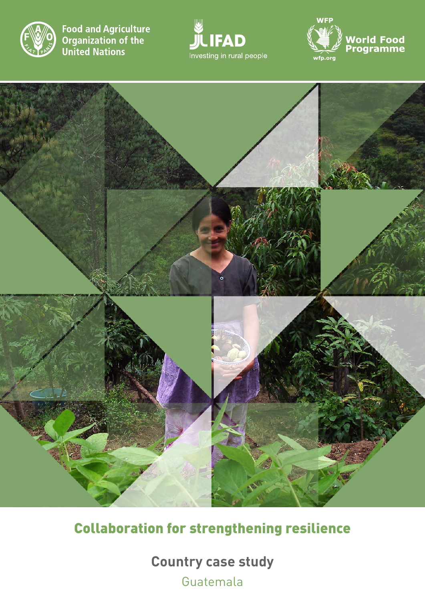

**Food and Agriculture Committed Streams**<br>**Organization of the**<br>**United Nations** 







Collaboration for strengthening resilience

**Country case study** Guatemala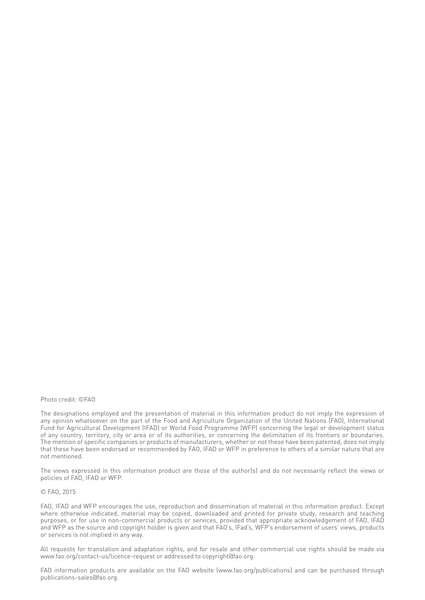#### Photo credit: ©FAO

The designations employed and the presentation of material in this information product do not imply the expression of any opinion whatsoever on the part of the Food and Agriculture Organization of the United Nations (FAO), International Fund for Agricultural Development (IFAD) or World Food Programme (WFP) concerning the legal or development status of any country, territory, city or area or of its authorities, or concerning the delimitation of its frontiers or boundaries. The mention of specific companies or products of manufacturers, whether or not these have been patented, does not imply that these have been endorsed or recommended by FAO, IFAD or WFP in preference to others of a similar nature that are not mentioned.

The views expressed in this information product are those of the author(s) and do not necessarily reflect the views or policies of FAO, IFAD or WFP.

#### © FAO, 2015

FAO, IFAD and WFP encourages the use, reproduction and dissemination of material in this information product. Except where otherwise indicated, material may be copied, downloaded and printed for private study, research and teaching purposes, or for use in non-commercial products or services, provided that appropriate acknowledgement of FAO, IFAD and WFP as the source and copyright holder is given and that FAO's, IFad's, WFP's endorsement of users' views, products or services is not implied in any way.

All requests for translation and adaptation rights, and for resale and other commercial use rights should be made via www.fao.org/contact-us/licence-request or addressed to copyright@fao.org.

FAO information products are available on the FAO website (www.fao.org/publications) and can be purchased through publications-sales@fao.org.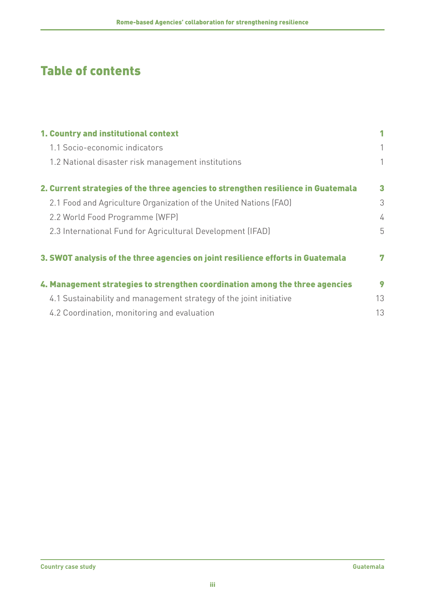# Table of contents

| 1. Country and institutional context                                              | 1  |
|-----------------------------------------------------------------------------------|----|
| 1.1 Socio-economic indicators                                                     | 1  |
| 1.2 National disaster risk management institutions                                | 1  |
| 2. Current strategies of the three agencies to strengthen resilience in Guatemala | 3  |
| 2.1 Food and Agriculture Organization of the United Nations (FAO)                 | 3  |
| 2.2 World Food Programme (WFP)                                                    | 4  |
| 2.3 International Fund for Agricultural Development (IFAD)                        | 5  |
| 3. SWOT analysis of the three agencies on joint resilience efforts in Guatemala   | 7  |
| 4. Management strategies to strengthen coordination among the three agencies      | 9  |
| 4.1 Sustainability and management strategy of the joint initiative                | 13 |
| 4.2 Coordination, monitoring and evaluation                                       | 13 |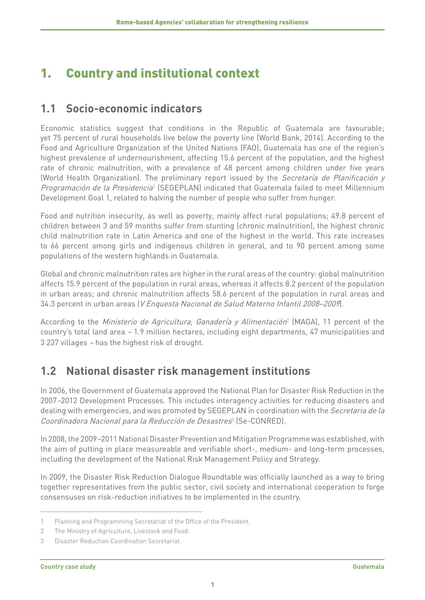# <span id="page-4-0"></span>1. Country and institutional context

#### **1.1 Socio-economic indicators**

Economic statistics suggest that conditions in the Republic of Guatemala are favourable; yet 75 percent of rural households live below the poverty line (World Bank, 2014). According to the Food and Agriculture Organization of the United Nations (FAO), Guatemala has one of the region's highest prevalence of undernourishment, affecting 15.6 percent of the population, and the highest rate of chronic malnutrition, with a prevalence of 48 percent among children under five years (World Health Organization). The preliminary report issued by the Secretaría de Planificación y *Programación de la Presidencia*<sup>1</sup> (SEGEPLAN) indicated that Guatemala failed to meet Millennium Development Goal 1, related to halving the number of people who suffer from hunger.

Food and nutrition insecurity, as well as poverty, mainly affect rural populations; 49.8 percent of children between 3 and 59 months suffer from stunting (chronic malnutrition), the highest chronic child malnutrition rate in Latin America and one of the highest in the world. This rate increases to 66 percent among girls and indigenous children in general, and to 90 percent among some populations of the western highlands in Guatemala.

Global and chronic malnutrition rates are higher in the rural areas of the country: global malnutrition affects 15.9 percent of the population in rural areas, whereas it affects 8.2 percent of the population in urban areas; and chronic malnutrition affects 58.6 percent of the population in rural areas and 34.3 percent in urban areas (V Enquesta Nacional de Salud Materno Infantil 2008–2009).

According to the *Ministerio de Agricultura, Ganadería y Alimentación*<sup>2</sup> (MAGA), 11 percent of the country's total land area – 1.9 million hectares, including eight departments, 47 municipalities and 3 237 villages – has the highest risk of drought.

### **1.2 National disaster risk management institutions**

In 2006, the Government of Guatemala approved the National Plan for Disaster Risk Reduction in the 2007–2012 Development Processes. This includes interagency activities for reducing disasters and dealing with emergencies, and was promoted by SEGEPLAN in coordination with the Secretaria de la Coordinadora Nacional para la Reducción de Desastres<sup>3</sup> (Se-CONRED).

In 2008, the 2009–2011 National Disaster Prevention and Mitigation Programme was established, with the aim of putting in place measureable and verifiable short-, medium- and long-term processes, including the development of the National Risk Management Policy and Strategy.

In 2009, the Disaster Risk Reduction Dialogue Roundtable was officially launched as a way to bring together representatives from the public sector, civil society and international cooperation to forge consensuses on risk-reduction initiatives to be implemented in the country.

<sup>1</sup> Planning and Programming Secretariat of the Office of the President.

<sup>2</sup> The Ministry of Agriculture, Livestock and Food.

<sup>3</sup> Disaster Reduction Coordination Secretariat.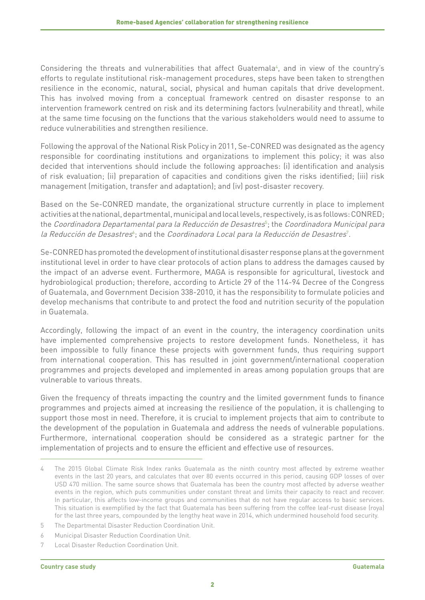Considering the threats and vulnerabilities that affect Guatemala<sup>4</sup>, and in view of the country's efforts to regulate institutional risk-management procedures, steps have been taken to strengthen resilience in the economic, natural, social, physical and human capitals that drive development. This has involved moving from a conceptual framework centred on disaster response to an intervention framework centred on risk and its determining factors (vulnerability and threat), while at the same time focusing on the functions that the various stakeholders would need to assume to reduce vulnerabilities and strengthen resilience.

Following the approval of the National Risk Policy in 2011, Se-CONRED was designated as the agency responsible for coordinating institutions and organizations to implement this policy; it was also decided that interventions should include the following approaches: (i) identification and analysis of risk evaluation; (ii) preparation of capacities and conditions given the risks identified; (iii) risk management (mitigation, transfer and adaptation); and (iv) post-disaster recovery.

Based on the Se-CONRED mandate, the organizational structure currently in place to implement activities at the national, departmental, municipal and local levels, respectively, is as follows: CONRED; the *Coordinadora Departamental para la Reducción de Desastres*<sup>5</sup>; the *Coordinadora Municipal para* la Reducción de Desastres<sup>s</sup>; and the Coordinadora Local para la Reducción de Desastres<sup>7</sup>.

Se-CONRED has promoted the development of institutional disaster response plans at the government institutional level in order to have clear protocols of action plans to address the damages caused by the impact of an adverse event. Furthermore, MAGA is responsible for agricultural, livestock and hydrobiological production; therefore, according to Article 29 of the 114-94 Decree of the Congress of Guatemala, and Government Decision 338-2010, it has the responsibility to formulate policies and develop mechanisms that contribute to and protect the food and nutrition security of the population in Guatemala.

Accordingly, following the impact of an event in the country, the interagency coordination units have implemented comprehensive projects to restore development funds. Nonetheless, it has been impossible to fully finance these projects with government funds, thus requiring support from international cooperation. This has resulted in joint government/international cooperation programmes and projects developed and implemented in areas among population groups that are vulnerable to various threats.

Given the frequency of threats impacting the country and the limited government funds to finance programmes and projects aimed at increasing the resilience of the population, it is challenging to support those most in need. Therefore, it is crucial to implement projects that aim to contribute to the development of the population in Guatemala and address the needs of vulnerable populations. Furthermore, international cooperation should be considered as a strategic partner for the implementation of projects and to ensure the efficient and effective use of resources.

<sup>4</sup> The 2015 Global Climate Risk Index ranks Guatemala as the ninth country most affected by extreme weather events in the last 20 years, and calculates that over 80 events occurred in this period, causing GDP losses of over USD 470 million. The same source shows that Guatemala has been the country most affected by adverse weather events in the region, which puts communities under constant threat and limits their capacity to react and recover. In particular, this affects low-income groups and communities that do not have regular access to basic services. This situation is exemplified by the fact that Guatemala has been suffering from the coffee leaf-rust disease (roya) for the last three years, compounded by the lengthy heat wave in 2014, which undermined household food security.

<sup>5</sup> The Departmental Disaster Reduction Coordination Unit.

<sup>6</sup> Municipal Disaster Reduction Coordination Unit.

<sup>7</sup> Local Disaster Reduction Coordination Unit.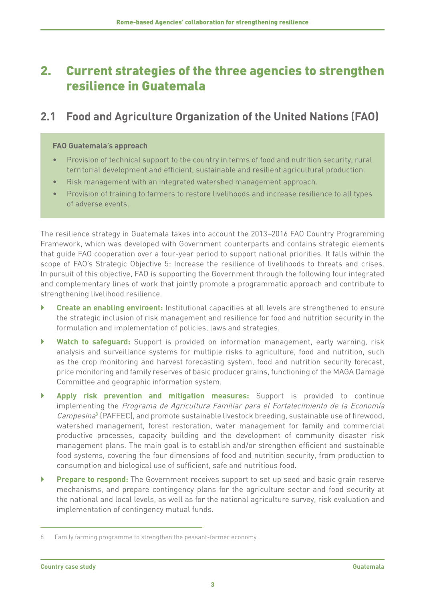## <span id="page-6-0"></span>2. Current strategies of the three agencies to strengthen resilience in Guatemala

#### **2.1 Food and Agriculture Organization of the United Nations (FAO)**

#### **FAO Guatemala's approach**

- Provision of technical support to the country in terms of food and nutrition security, rural territorial development and efficient, sustainable and resilient agricultural production.
- Risk management with an integrated watershed management approach.
- Provision of training to farmers to restore livelihoods and increase resilience to all types of adverse events.

The resilience strategy in Guatemala takes into account the 2013–2016 FAO Country Programming Framework, which was developed with Government counterparts and contains strategic elements that guide FAO cooperation over a four-year period to support national priorities. It falls within the scope of FAO's Strategic Objective 5: Increase the resilience of livelihoods to threats and crises. In pursuit of this objective, FAO is supporting the Government through the following four integrated and complementary lines of work that jointly promote a programmatic approach and contribute to strengthening livelihood resilience.

- } **Create an enabling enviroent:** Institutional capacities at all levels are strengthened to ensure the strategic inclusion of risk management and resilience for food and nutrition security in the formulation and implementation of policies, laws and strategies.
- } **Watch to safeguard:** Support is provided on information management, early warning, risk analysis and surveillance systems for multiple risks to agriculture, food and nutrition, such as the crop monitoring and harvest forecasting system, food and nutrition security forecast, price monitoring and family reserves of basic producer grains, functioning of the MAGA Damage Committee and geographic information system.
- } **Apply risk prevention and mitigation measures:** Support is provided to continue implementing the Programa de Agricultura Familiar para el Fortalecimiento de la Economía Campesina<sup>8</sup> (PAFFEC), and promote sustainable livestock breeding, sustainable use of firewood, watershed management, forest restoration, water management for family and commercial productive processes, capacity building and the development of community disaster risk management plans. The main goal is to establish and/or strengthen efficient and sustainable food systems, covering the four dimensions of food and nutrition security, from production to consumption and biological use of sufficient, safe and nutritious food.
- } **Prepare to respond:** The Government receives support to set up seed and basic grain reserve mechanisms, and prepare contingency plans for the agriculture sector and food security at the national and local levels, as well as for the national agriculture survey, risk evaluation and implementation of contingency mutual funds.

<sup>8</sup> Family farming programme to strengthen the peasant-farmer economy.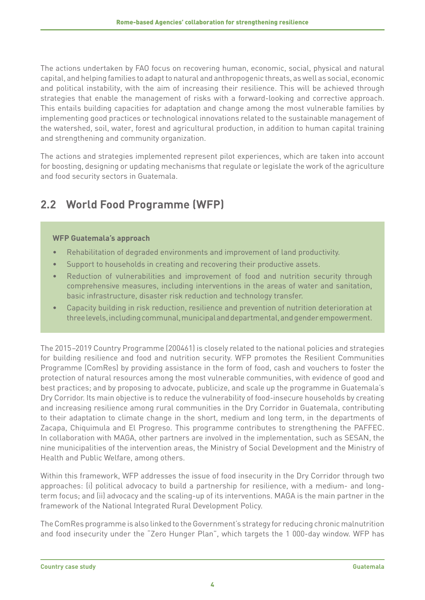<span id="page-7-0"></span>The actions undertaken by FAO focus on recovering human, economic, social, physical and natural capital, and helping families to adapt to natural and anthropogenic threats, as well as social, economic and political instability, with the aim of increasing their resilience. This will be achieved through strategies that enable the management of risks with a forward-looking and corrective approach. This entails building capacities for adaptation and change among the most vulnerable families by implementing good practices or technological innovations related to the sustainable management of the watershed, soil, water, forest and agricultural production, in addition to human capital training and strengthening and community organization.

The actions and strategies implemented represent pilot experiences, which are taken into account for boosting, designing or updating mechanisms that regulate or legislate the work of the agriculture and food security sectors in Guatemala.

## **2.2 World Food Programme (WFP)**

#### **WFP Guatemala's approach**

- Rehabilitation of degraded environments and improvement of land productivity.
- Support to households in creating and recovering their productive assets.
- Reduction of vulnerabilities and improvement of food and nutrition security through comprehensive measures, including interventions in the areas of water and sanitation, basic infrastructure, disaster risk reduction and technology transfer.
- Capacity building in risk reduction, resilience and prevention of nutrition deterioration at three levels, including communal, municipal and departmental, and gender empowerment.

The 2015–2019 Country Programme (200461) is closely related to the national policies and strategies for building resilience and food and nutrition security. WFP promotes the Resilient Communities Programme (ComRes) by providing assistance in the form of food, cash and vouchers to foster the protection of natural resources among the most vulnerable communities, with evidence of good and best practices; and by proposing to advocate, publicize, and scale up the programme in Guatemala's Dry Corridor. Its main objective is to reduce the vulnerability of food-insecure households by creating and increasing resilience among rural communities in the Dry Corridor in Guatemala, contributing to their adaptation to climate change in the short, medium and long term, in the departments of Zacapa, Chiquimula and El Progreso. This programme contributes to strengthening the PAFFEC. In collaboration with MAGA, other partners are involved in the implementation, such as SESAN, the nine municipalities of the intervention areas, the Ministry of Social Development and the Ministry of Health and Public Welfare, among others.

Within this framework, WFP addresses the issue of food insecurity in the Dry Corridor through two approaches: (i) political advocacy to build a partnership for resilience, with a medium- and longterm focus; and (ii) advocacy and the scaling-up of its interventions. MAGA is the main partner in the framework of the National Integrated Rural Development Policy.

The ComRes programme is also linked to the Government's strategy for reducing chronic malnutrition and food insecurity under the "Zero Hunger Plan", which targets the 1 000-day window. WFP has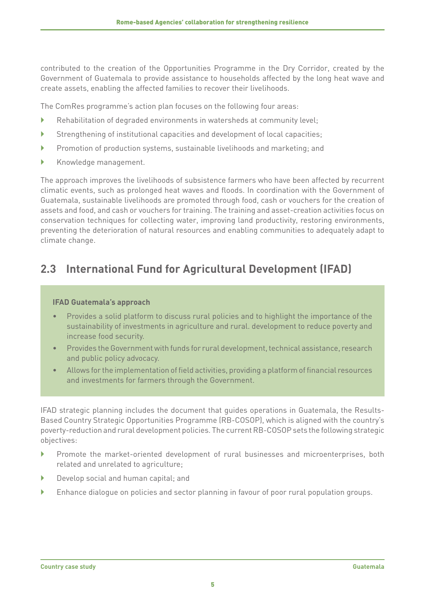<span id="page-8-0"></span>contributed to the creation of the Opportunities Programme in the Dry Corridor, created by the Government of Guatemala to provide assistance to households affected by the long heat wave and create assets, enabling the affected families to recover their livelihoods.

The ComRes programme's action plan focuses on the following four areas:

- $\blacktriangleright$  Rehabilitation of degraded environments in watersheds at community level;
- } Strengthening of institutional capacities and development of local capacities;
- } Promotion of production systems, sustainable livelihoods and marketing; and
- } Knowledge management.

The approach improves the livelihoods of subsistence farmers who have been affected by recurrent climatic events, such as prolonged heat waves and floods. In coordination with the Government of Guatemala, sustainable livelihoods are promoted through food, cash or vouchers for the creation of assets and food, and cash or vouchers for training. The training and asset-creation activities focus on conservation techniques for collecting water, improving land productivity, restoring environments, preventing the deterioration of natural resources and enabling communities to adequately adapt to climate change.

#### **2.3 International Fund for Agricultural Development (IFAD)**

#### **IFAD Guatemala's approach**

- Provides a solid platform to discuss rural policies and to highlight the importance of the sustainability of investments in agriculture and rural. development to reduce poverty and increase food security.
- Provides the Government with funds for rural development, technical assistance, research and public policy advocacy.
- Allows for the implementation of field activities, providing a platform of financial resources and investments for farmers through the Government.

IFAD strategic planning includes the document that guides operations in Guatemala, the Results-Based Country Strategic Opportunities Programme (RB-COSOP), which is aligned with the country's poverty-reduction and rural development policies. The current RB-COSOP sets the following strategic objectives:

- } Promote the market-oriented development of rural businesses and microenterprises, both related and unrelated to agriculture;
- } Develop social and human capital; and
- } Enhance dialogue on policies and sector planning in favour of poor rural population groups.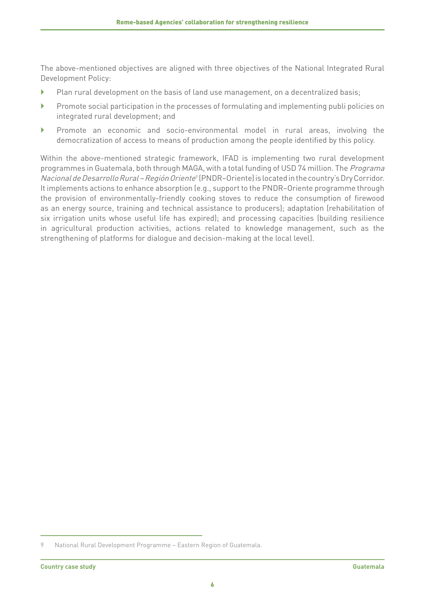The above-mentioned objectives are aligned with three objectives of the National Integrated Rural Development Policy:

- $\blacktriangleright$  Plan rural development on the basis of land use management, on a decentralized basis;
- $\blacktriangleright$  Promote social participation in the processes of formulating and implementing publi policies on integrated rural development; and
- } Promote an economic and socio-environmental model in rural areas, involving the democratization of access to means of production among the people identified by this policy.

Within the above-mentioned strategic framework, IFAD is implementing two rural development programmes in Guatemala, both through MAGA, with a total funding of USD 74 million. The Programa Nacional de Desarrollo Rural – Región Oriente<sup>9</sup> (PNDR–Oriente) is located in the country's Dry Corridor. It implements actions to enhance absorption (e.g., support to the PNDR–Oriente programme through the provision of environmentally-friendly cooking stoves to reduce the consumption of firewood as an energy source, training and technical assistance to producers); adaptation (rehabilitation of six irrigation units whose useful life has expired); and processing capacities (building resilience in agricultural production activities, actions related to knowledge management, such as the strengthening of platforms for dialogue and decision-making at the local level).

<sup>9</sup> National Rural Development Programme – Eastern Region of Guatemala.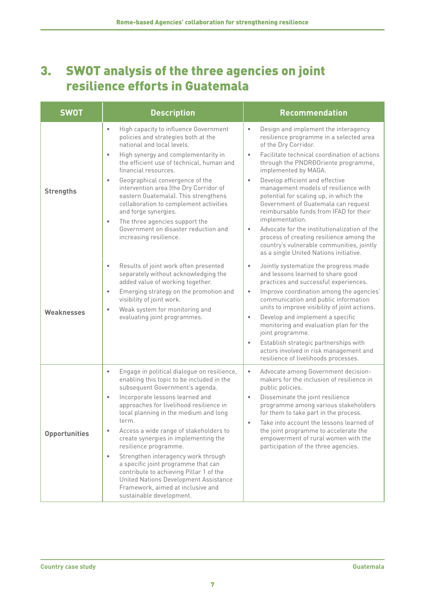# <span id="page-10-0"></span>3. SWOT analysis of the three agencies on joint resilience efforts in Guatemala

| <b>SWOT</b>          | <b>Description</b>                                                                                                                                                                                                                                                                                                                                                                                                                                                                                                                                                                                                                                            | <b>Recommendation</b>                                                                                                                                                                                                                                                                                                                                                                                                                                                                                                                                                                                                                                                                  |
|----------------------|---------------------------------------------------------------------------------------------------------------------------------------------------------------------------------------------------------------------------------------------------------------------------------------------------------------------------------------------------------------------------------------------------------------------------------------------------------------------------------------------------------------------------------------------------------------------------------------------------------------------------------------------------------------|----------------------------------------------------------------------------------------------------------------------------------------------------------------------------------------------------------------------------------------------------------------------------------------------------------------------------------------------------------------------------------------------------------------------------------------------------------------------------------------------------------------------------------------------------------------------------------------------------------------------------------------------------------------------------------------|
| <b>Strengths</b>     | High capacity to influence Government<br>$\bullet$<br>policies and strategies both at the<br>national and local levels.<br>High synergy and complementarity in<br>$\bullet$<br>the efficient use of technical, human and<br>financial resources.<br>Geographical convergence of the<br>$\bullet$<br>intervention area (the Dry Corridor of<br>eastern Guatemala). This strengthens<br>collaboration to complement activities<br>and forge synergies.<br>The three agencies support the<br>$\bullet$<br>Government on disaster reduction and<br>increasing resilience.                                                                                         | Design and implement the interagency<br>$\bullet$<br>resilience programme in a selected area<br>of the Dry Corridor.<br>Facilitate technical coordination of actions<br>$\bullet$<br>through the PNDRĐOriente programme,<br>implemented by MAGA.<br>Develop efficient and effective<br>$\bullet$<br>management models of resilience with<br>potential for scaling up, in which the<br>Government of Guatemala can request<br>reimbursable funds from IFAD for their<br>implementation.<br>Advocate for the institutionalization of the<br>$\bullet$<br>process of creating resilience among the<br>country's vulnerable communities, jointly<br>as a single United Nations initiative. |
| <b>Weaknesses</b>    | Results of joint work often presented<br>$\bullet$<br>separately without acknowledging the<br>added value of working together.<br>Emerging strategy on the promotion and<br>$\bullet$<br>visibility of joint work.<br>Weak system for monitoring and<br>$\bullet$<br>evaluating joint programmes.                                                                                                                                                                                                                                                                                                                                                             | Jointly systematize the progress made<br>$\bullet$<br>and lessons learned to share good<br>practices and successful experiences.<br>Improve coordination among the agencies'<br>$\bullet$<br>communication and public information<br>units to improve visibility of joint actions.<br>Develop and implement a specific<br>$\bullet$<br>monitoring and evaluation plan for the<br>joint programme.<br>Establish strategic partnerships with<br>$\bullet$<br>actors involved in risk management and<br>resilience of livelihoods processes.                                                                                                                                              |
| <b>Opportunities</b> | Engage in political dialogue on resilience,<br>$\bullet$<br>enabling this topic to be included in the<br>subsequent Government's agenda.<br>Incorporate lessons learned and<br>$\bullet$<br>approaches for livelihood resilience in<br>local planning in the medium and long<br>term.<br>Access a wide range of stakeholders to<br>$\bullet$<br>create synergies in implementing the<br>resilience programme.<br>Strengthen interagency work through<br>$\bullet$<br>a specific joint programme that can<br>contribute to achieving Pillar 1 of the<br>United Nations Development Assistance<br>Framework, aimed at inclusive and<br>sustainable development. | Advocate among Government decision-<br>$\bullet$<br>makers for the inclusion of resilience in<br>public policies.<br>Disseminate the joint resilience<br>$\bullet$<br>programme among various stakeholders<br>for them to take part in the process.<br>Take into account the lessons learned of<br>the joint programme to accelerate the<br>empowerment of rural women with the<br>participation of the three agencies.                                                                                                                                                                                                                                                                |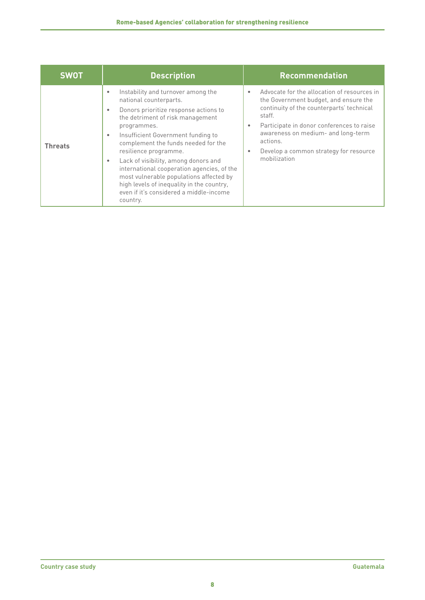| <b>SWOT</b>    | <b>Description</b>                                                                                                                                                                                                                                                                                                                                                                                                                                                                                                                              | <b>Recommendation</b>                                                                                                                                                                                                                                                                                          |
|----------------|-------------------------------------------------------------------------------------------------------------------------------------------------------------------------------------------------------------------------------------------------------------------------------------------------------------------------------------------------------------------------------------------------------------------------------------------------------------------------------------------------------------------------------------------------|----------------------------------------------------------------------------------------------------------------------------------------------------------------------------------------------------------------------------------------------------------------------------------------------------------------|
| <b>Threats</b> | Instability and turnover among the<br>$\bullet$<br>national counterparts.<br>Donors prioritize response actions to<br>$\bullet$<br>the detriment of risk management<br>programmes.<br>Insufficient Government funding to<br>$\bullet$<br>complement the funds needed for the<br>resilience programme.<br>Lack of visibility, among donors and<br>٠<br>international cooperation agencies, of the<br>most vulnerable populations affected by<br>high levels of inequality in the country,<br>even if it's considered a middle-income<br>country. | Advocate for the allocation of resources in<br>the Government budget, and ensure the<br>continuity of the counterparts' technical<br>staff.<br>Participate in donor conferences to raise<br>۰<br>awareness on medium- and long-term<br>actions.<br>Develop a common strategy for resource<br>٠<br>mobilization |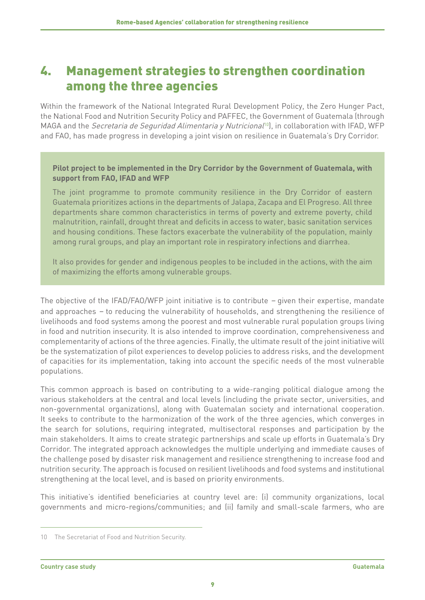## <span id="page-12-0"></span>4. Management strategies to strengthen coordination among the three agencies

Within the framework of the National Integrated Rural Development Policy, the Zero Hunger Pact, the National Food and Nutrition Security Policy and PAFFEC, the Government of Guatemala (through MAGA and the Secretaria de Seguridad Alimentaria y Nutricional<sup>10</sup>, in collaboration with IFAD, WFP and FAO, has made progress in developing a joint vision on resilience in Guatemala's Dry Corridor.

#### **Pilot project to be implemented in the Dry Corridor by the Government of Guatemala, with support from FAO, IFAD and WFP**

The joint programme to promote community resilience in the Dry Corridor of eastern Guatemala prioritizes actions in the departments of Jalapa, Zacapa and El Progreso. All three departments share common characteristics in terms of poverty and extreme poverty, child malnutrition, rainfall, drought threat and deficits in access to water, basic sanitation services and housing conditions. These factors exacerbate the vulnerability of the population, mainly among rural groups, and play an important role in respiratory infections and diarrhea.

It also provides for gender and indigenous peoples to be included in the actions, with the aim of maximizing the efforts among vulnerable groups.

The objective of the IFAD/FAO/WFP joint initiative is to contribute – given their expertise, mandate and approaches – to reducing the vulnerability of households, and strengthening the resilience of livelihoods and food systems among the poorest and most vulnerable rural population groups living in food and nutrition insecurity. It is also intended to improve coordination, comprehensiveness and complementarity of actions of the three agencies. Finally, the ultimate result of the joint initiative will be the systematization of pilot experiences to develop policies to address risks, and the development of capacities for its implementation, taking into account the specific needs of the most vulnerable populations.

This common approach is based on contributing to a wide-ranging political dialogue among the various stakeholders at the central and local levels (including the private sector, universities, and non-governmental organizations), along with Guatemalan society and international cooperation. It seeks to contribute to the harmonization of the work of the three agencies, which converges in the search for solutions, requiring integrated, multisectoral responses and participation by the main stakeholders. It aims to create strategic partnerships and scale up efforts in Guatemala's Dry Corridor. The integrated approach acknowledges the multiple underlying and immediate causes of the challenge posed by disaster risk management and resilience strengthening to increase food and nutrition security. The approach is focused on resilient livelihoods and food systems and institutional strengthening at the local level, and is based on priority environments.

This initiative's identified beneficiaries at country level are: (i) community organizations, local governments and micro-regions/communities; and (ii) family and small-scale farmers, who are

<sup>10</sup> The Secretariat of Food and Nutrition Security.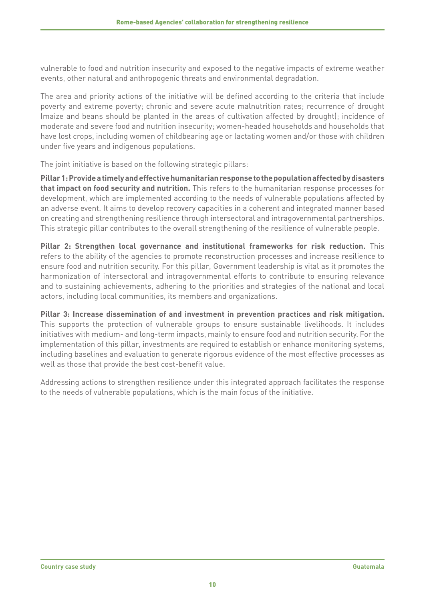vulnerable to food and nutrition insecurity and exposed to the negative impacts of extreme weather events, other natural and anthropogenic threats and environmental degradation.

The area and priority actions of the initiative will be defined according to the criteria that include poverty and extreme poverty; chronic and severe acute malnutrition rates; recurrence of drought (maize and beans should be planted in the areas of cultivation affected by drought); incidence of moderate and severe food and nutrition insecurity; women-headed households and households that have lost crops, including women of childbearing age or lactating women and/or those with children under five years and indigenous populations.

The joint initiative is based on the following strategic pillars:

**Pillar 1: Provide a timely and effective humanitarian response to the population affected by disasters that impact on food security and nutrition.** This refers to the humanitarian response processes for development, which are implemented according to the needs of vulnerable populations affected by an adverse event. It aims to develop recovery capacities in a coherent and integrated manner based on creating and strengthening resilience through intersectoral and intragovernmental partnerships. This strategic pillar contributes to the overall strengthening of the resilience of vulnerable people.

**Pillar 2: Strengthen local governance and institutional frameworks for risk reduction.** This refers to the ability of the agencies to promote reconstruction processes and increase resilience to ensure food and nutrition security. For this pillar, Government leadership is vital as it promotes the harmonization of intersectoral and intragovernmental efforts to contribute to ensuring relevance and to sustaining achievements, adhering to the priorities and strategies of the national and local actors, including local communities, its members and organizations.

**Pillar 3: Increase dissemination of and investment in prevention practices and risk mitigation.** This supports the protection of vulnerable groups to ensure sustainable livelihoods. It includes initiatives with medium- and long-term impacts, mainly to ensure food and nutrition security. For the implementation of this pillar, investments are required to establish or enhance monitoring systems, including baselines and evaluation to generate rigorous evidence of the most effective processes as well as those that provide the best cost-benefit value.

Addressing actions to strengthen resilience under this integrated approach facilitates the response to the needs of vulnerable populations, which is the main focus of the initiative.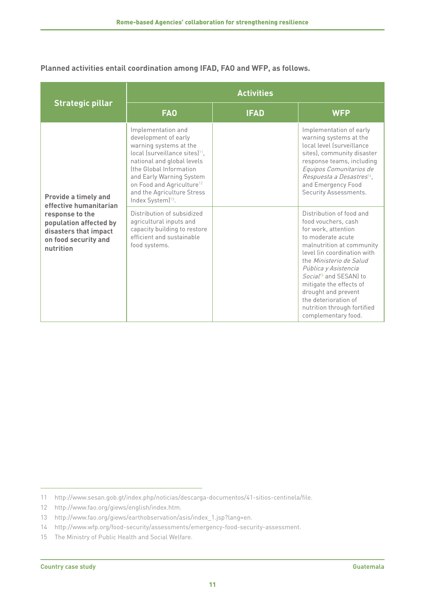**Planned activities entail coordination among IFAD, FAO and WFP, as follows.**

|                                                                                                                                                                  | <b>Activities</b>                                                                                                                                                                                                                                                                                               |             |                                                                                                                                                                                                                                                                                                                                                                                  |  |
|------------------------------------------------------------------------------------------------------------------------------------------------------------------|-----------------------------------------------------------------------------------------------------------------------------------------------------------------------------------------------------------------------------------------------------------------------------------------------------------------|-------------|----------------------------------------------------------------------------------------------------------------------------------------------------------------------------------------------------------------------------------------------------------------------------------------------------------------------------------------------------------------------------------|--|
| <b>Strategic pillar</b>                                                                                                                                          | <b>FAO</b>                                                                                                                                                                                                                                                                                                      | <b>IFAD</b> | <b>WFP</b>                                                                                                                                                                                                                                                                                                                                                                       |  |
| <b>Provide a timely and</b><br>effective humanitarian<br>response to the<br>population affected by<br>disasters that impact<br>on food security and<br>nutrition | Implementation and<br>development of early<br>warning systems at the<br>local (surveillance sites) <sup>11</sup> .<br>national and global levels<br>Ithe Global Information<br>and Early Warning System<br>on Food and Agriculture <sup>12</sup><br>and the Agriculture Stress<br>Index System) <sup>13</sup> . |             | Implementation of early<br>warning systems at the<br>local level (surveillance<br>sites), community disaster<br>response teams, including<br>Equipos Comunitarios de<br>Respuesta a Desastres <sup>14</sup> ,<br>and Emergency Food<br>Security Assessments.                                                                                                                     |  |
|                                                                                                                                                                  | Distribution of subsidized<br>agricultural inputs and<br>capacity building to restore<br>efficient and sustainable<br>food systems.                                                                                                                                                                             |             | Distribution of food and<br>food vouchers, cash<br>for work, attention<br>to moderate acute<br>malnutrition at community<br>level (in coordination with<br>the Ministerio de Salud<br>Pública y Asistencia<br>Social <sup>15</sup> and SESAN) to<br>mitigate the effects of<br>drought and prevent<br>the deterioration of<br>nutrition through fortified<br>complementary food. |  |

12 [http://www.fao.org/giews/english/index.htm.](http://www.fao.org/giews/english/index.htm)

<sup>11</sup> [http://www.sesan.gob.gt/index.php/noticias/descarga-documentos/41-sitios-centinela/file.](http://www.sesan.gob.gt/index.php/noticias/descarga-documentos/41-sitios-centinela/file)

<sup>13</sup> [http://www.fao.org/giews/earthobservation/asis/index\\_1.jsp?lang=en.](http://www.fao.org/giews/earthobservation/asis/index_1.jsp?lang=en)

<sup>14</sup> [http://www.wfp.org/food-security/assessments/emergency-food-security-assessment.](http://www.wfp.org/food-security/assessments/emergency-food-security-assessment)

<sup>15</sup> The Ministry of Public Health and Social Welfare.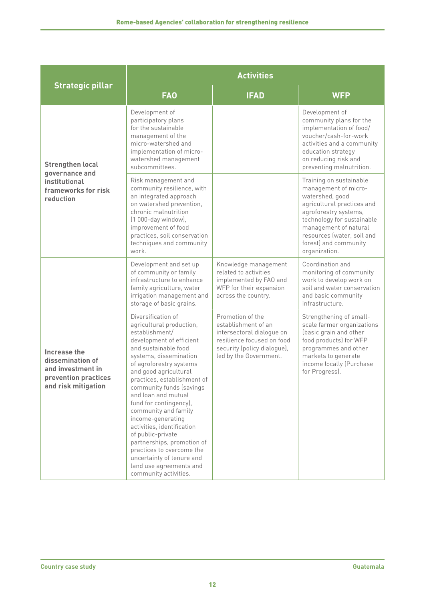|                                                                                                      | <b>Activities</b>                                                                                                                                                                                                                                                                                                                                                                                                                                                                                                                                          |                                                                                                                                                             |                                                                                                                                                                                                                                                          |  |
|------------------------------------------------------------------------------------------------------|------------------------------------------------------------------------------------------------------------------------------------------------------------------------------------------------------------------------------------------------------------------------------------------------------------------------------------------------------------------------------------------------------------------------------------------------------------------------------------------------------------------------------------------------------------|-------------------------------------------------------------------------------------------------------------------------------------------------------------|----------------------------------------------------------------------------------------------------------------------------------------------------------------------------------------------------------------------------------------------------------|--|
| <b>Strategic pillar</b>                                                                              | <b>FAO</b>                                                                                                                                                                                                                                                                                                                                                                                                                                                                                                                                                 | <b>IFAD</b>                                                                                                                                                 | <b>WFP</b>                                                                                                                                                                                                                                               |  |
| <b>Strengthen local</b><br>governance and<br>institutional<br>frameworks for risk<br>reduction       | Development of<br>participatory plans<br>for the sustainable<br>management of the<br>micro-watershed and<br>implementation of micro-<br>watershed management<br>subcommittees.                                                                                                                                                                                                                                                                                                                                                                             |                                                                                                                                                             | Development of<br>community plans for the<br>implementation of food/<br>voucher/cash-for-work<br>activities and a community<br>education strategy<br>on reducing risk and<br>preventing malnutrition.                                                    |  |
|                                                                                                      | Risk management and<br>community resilience, with<br>an integrated approach<br>on watershed prevention,<br>chronic malnutrition<br>(1 000-day window),<br>improvement of food<br>practices, soil conservation<br>techniques and community<br>work.                                                                                                                                                                                                                                                                                                         |                                                                                                                                                             | Training on sustainable<br>management of micro-<br>watershed, good<br>agricultural practices and<br>agroforestry systems,<br>technology for sustainable<br>management of natural<br>resources (water, soil and<br>forest) and community<br>organization. |  |
|                                                                                                      | Development and set up<br>of community or family<br>infrastructure to enhance<br>family agriculture, water<br>irrigation management and<br>storage of basic grains.                                                                                                                                                                                                                                                                                                                                                                                        | Knowledge management<br>related to activities<br>implemented by FAO and<br>WFP for their expansion<br>across the country.                                   | Coordination and<br>monitoring of community<br>work to develop work on<br>soil and water conservation<br>and basic community<br>infrastructure.                                                                                                          |  |
| Increase the<br>dissemination of<br>and investment in<br>prevention practices<br>and risk mitigation | Diversification of<br>agricultural production,<br>establishment/<br>development of efficient<br>and sustainable food<br>systems, dissemination<br>of agroforestry systems<br>and good agricultural<br>practices, establishment of<br>community funds (savings<br>and loan and mutual<br>fund for contingency),<br>community and family<br>income-generating<br>activities, identification<br>of public-private<br>partnerships, promotion of<br>practices to overcome the<br>uncertainty of tenure and<br>land use agreements and<br>community activities. | Promotion of the<br>establishment of an<br>intersectoral dialoque on<br>resilience focused on food<br>security (policy dialogue),<br>led by the Government. | Strengthening of small-<br>scale farmer organizations<br>(basic grain and other<br>food products) for WFP<br>programmes and other<br>markets to generate<br>income locally (Purchase<br>for Progress).                                                   |  |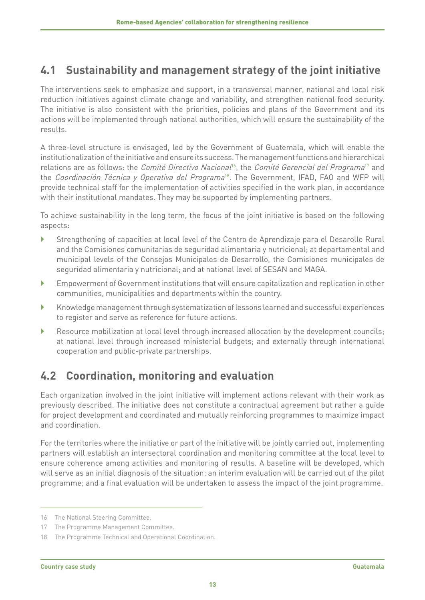### <span id="page-16-0"></span>**4.1 Sustainability and management strategy of the joint initiative**

The interventions seek to emphasize and support, in a transversal manner, national and local risk reduction initiatives against climate change and variability, and strengthen national food security. The initiative is also consistent with the priorities, policies and plans of the Government and its actions will be implemented through national authorities, which will ensure the sustainability of the results.

A three-level structure is envisaged, led by the Government of Guatemala, which will enable the institutionalization of the initiative and ensure its success. The management functions and hierarchical relations are as follows: the *Comité Directivo Nacional<sup>16</sup>*, the *Comité Gerencial del Programa<sup>17</sup>* and the Coordinación Técnica y Operativa del Programa<sup>18</sup>. The Government, IFAD, FAO and WFP will provide technical staff for the implementation of activities specified in the work plan, in accordance with their institutional mandates. They may be supported by implementing partners.

To achieve sustainability in the long term, the focus of the joint initiative is based on the following aspects:

- } Strengthening of capacities at local level of the Centro de Aprendizaje para el Desarollo Rural and the Comisiones comunitarias de seguridad alimentaria y nutricional; at departamental and municipal levels of the Consejos Municipales de Desarrollo, the Comisiones municipales de seguridad alimentaria y nutricional; and at national level of SESAN and MAGA.
- } Empowerment of Government institutions that will ensure capitalization and replication in other communities, municipalities and departments within the country.
- } Knowledge management through systematization of lessons learned and successful experiences to register and serve as reference for future actions.
- } Resource mobilization at local level through increased allocation by the development councils; at national level through increased ministerial budgets; and externally through international cooperation and public-private partnerships.

### **4.2 Coordination, monitoring and evaluation**

Each organization involved in the joint initiative will implement actions relevant with their work as previously described. The initiative does not constitute a contractual agreement but rather a guide for project development and coordinated and mutually reinforcing programmes to maximize impact and coordination.

For the territories where the initiative or part of the initiative will be jointly carried out, implementing partners will establish an intersectoral coordination and monitoring committee at the local level to ensure coherence among activities and monitoring of results. A baseline will be developed, which will serve as an initial diagnosis of the situation; an interim evaluation will be carried out of the pilot programme; and a final evaluation will be undertaken to assess the impact of the joint programme.

<sup>16</sup> The National Steering Committee.

<sup>17</sup> The Programme Management Committee.

<sup>18</sup> The Programme Technical and Operational Coordination.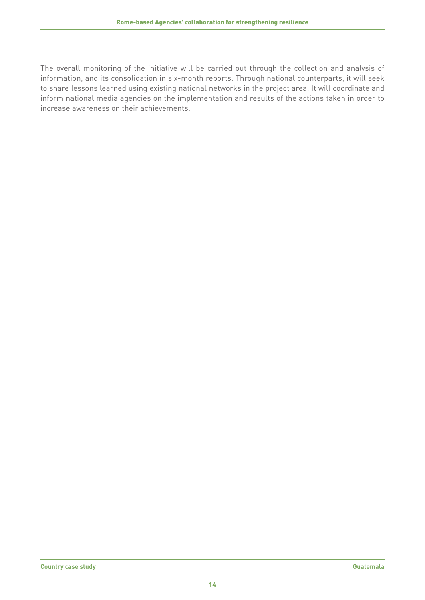The overall monitoring of the initiative will be carried out through the collection and analysis of information, and its consolidation in six-month reports. Through national counterparts, it will seek to share lessons learned using existing national networks in the project area. It will coordinate and inform national media agencies on the implementation and results of the actions taken in order to increase awareness on their achievements.